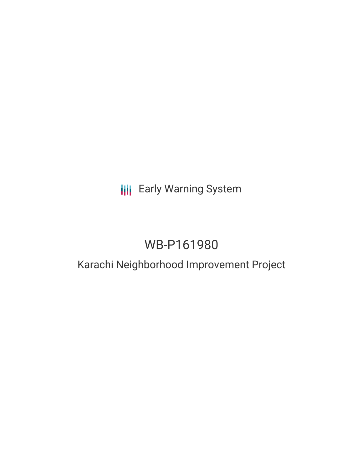# **III** Early Warning System

# WB-P161980

# Karachi Neighborhood Improvement Project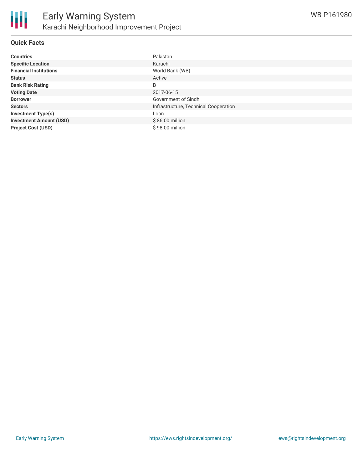

### **Quick Facts**

| <b>Countries</b>               | Pakistan                              |
|--------------------------------|---------------------------------------|
| <b>Specific Location</b>       | Karachi                               |
| <b>Financial Institutions</b>  | World Bank (WB)                       |
| <b>Status</b>                  | Active                                |
| <b>Bank Risk Rating</b>        | B                                     |
| <b>Voting Date</b>             | 2017-06-15                            |
| <b>Borrower</b>                | Government of Sindh                   |
| <b>Sectors</b>                 | Infrastructure, Technical Cooperation |
| <b>Investment Type(s)</b>      | Loan                                  |
| <b>Investment Amount (USD)</b> | \$86.00 million                       |
| <b>Project Cost (USD)</b>      | \$98.00 million                       |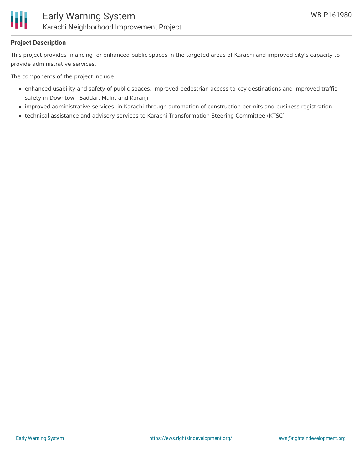

### **Project Description**

This project provides financing for enhanced public spaces in the targeted areas of Karachi and improved city's capacity to provide administrative services.

The components of the project include

- enhanced usability and safety of public spaces, improved pedestrian access to key destinations and improved traffic safety in Downtown Saddar, Malir, and Koranji
- improved administrative services in Karachi through automation of construction permits and business registration
- technical assistance and advisory services to Karachi Transformation Steering Committee (KTSC)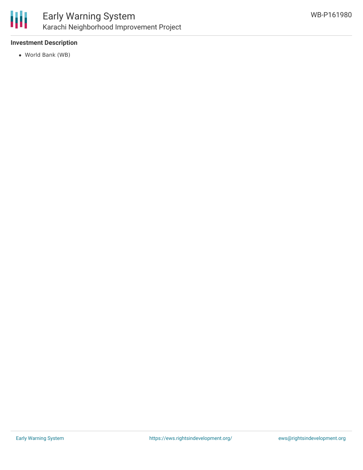

## **Investment Description**

World Bank (WB)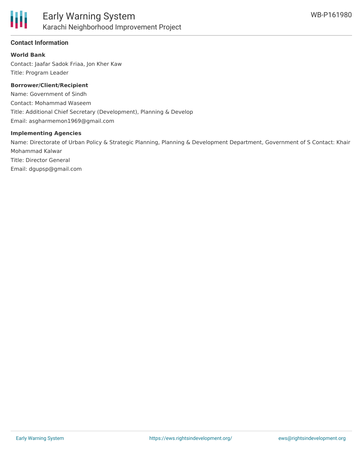

### **Contact Information**

#### **World Bank**

Contact: Jaafar Sadok Friaa, Jon Kher Kaw Title: Program Leader

#### **Borrower/Client/Recipient**

Name: Government of Sindh Contact: Mohammad Waseem Title: Additional Chief Secretary (Development), Planning & Develop Email: asgharmemon1969@gmail.com

#### **Implementing Agencies**

Name: Directorate of Urban Policy & Strategic Planning, Planning & Development Department, Government of S Contact: Khair Mohammad Kalwar Title: Director General Email: dgupsp@gmail.com